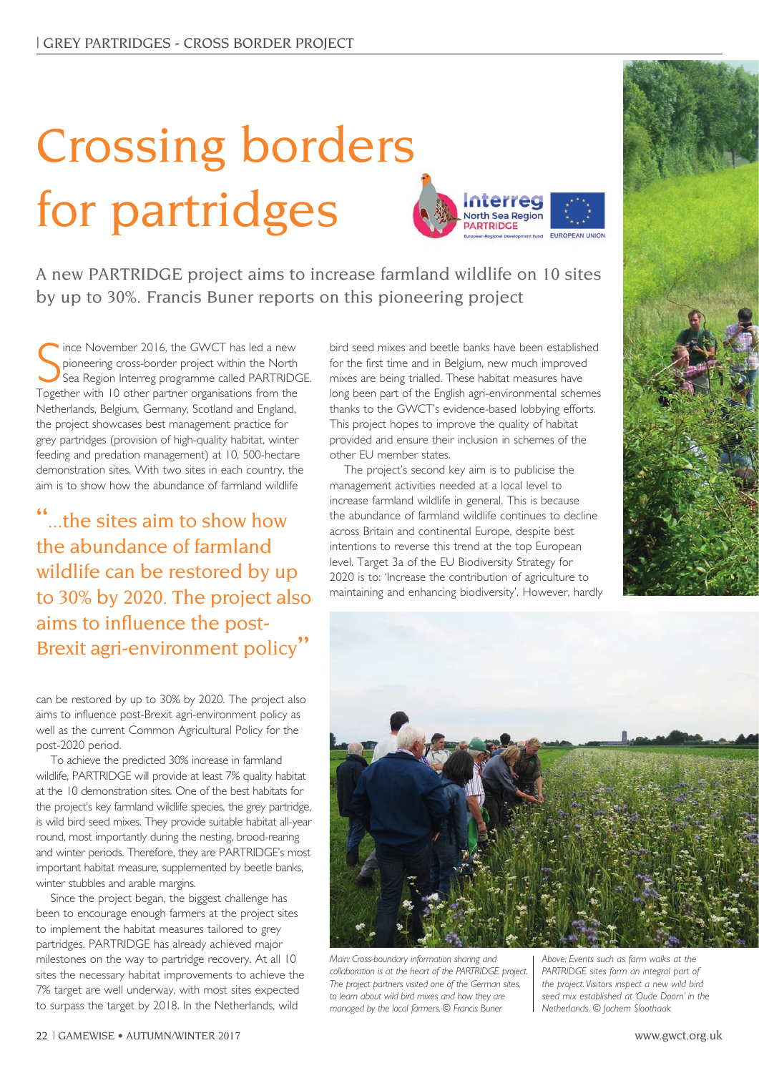## Crossing borders for partridges



A new PARTRIDGE project aims to increase farmland wildlife on 10 sites by up to 30%. Francis Buner reports on this pioneering project

Since November 2016, the GWCT has led a new<br>pioneering cross-border project within the North<br>Sea Region Interreg programme called PARTRIDC<br>Together with 10 other partner organisations from the ince November 2016, the GWCT has led a new pioneering cross-border project within the North Sea Region Interreg programme called PARTRIDGE. Netherlands, Belgium, Germany, Scotland and England, the project showcases best management practice for grey partridges (provision of high-quality habitat, winter feeding and predation management) at 10, 500-hectare demonstration sites. With two sites in each country, the aim is to show how the abundance of farmland wildlife

"...the sites aim to show how the abundance of farmland wildlife can be restored by up to 30% by 2020. The project also aims to influence the post-Brexit agri-environment policy"

can be restored by up to 30% by 2020. The project also aims to influence post-Brexit agri-environment policy as well as the current Common Agricultural Policy for the post-2020 period.

To achieve the predicted 30% increase in farmland wildlife, PARTRIDGE will provide at least 7% quality habitat at the 10 demonstration sites. One of the best habitats for the project's key farmland wildlife species, the grey partridge, is wild bird seed mixes. They provide suitable habitat all-year round, most importantly during the nesting, brood-rearing and winter periods. Therefore, they are PARTRIDGE's most important habitat measure, supplemented by beetle banks, winter stubbles and arable margins.

Since the project began, the biggest challenge has been to encourage enough farmers at the project sites to implement the habitat measures tailored to grey partridges. PARTRIDGE has already achieved major milestones on the way to partridge recovery. At all 10 sites the necessary habitat improvements to achieve the 7% target are well underway, with most sites expected to surpass the target by 2018. In the Netherlands, wild

bird seed mixes and beetle banks have been established for the first time and in Belgium, new much improved mixes are being trialled. These habitat measures have long been part of the English agri-environmental schemes thanks to the GWCT's evidence-based lobbying efforts. This project hopes to improve the quality of habitat provided and ensure their inclusion in schemes of the other EU member states.

The project's second key aim is to publicise the management activities needed at a local level to increase farmland wildlife in general. This is because the abundance of farmland wildlife continues to decline across Britain and continental Europe, despite best intentions to reverse this trend at the top European level. Target 3a of the EU Biodiversity Strategy for 2020 is to: 'Increase the contribution of agriculture to maintaining and enhancing biodiversity'. However, hardly





*Main: Cross-boundary information sharing and collaboration is at the heart of the PARTRIDGE project. The project partners visited one of the German sites, to learn about wild bird mixes and how they are managed by the local farmers. © Francis Buner*

*Above: Events such as farm walks at the PARTRIDGE sites form an integral part of the project. Visitors inspect a new wild bird seed mix established at 'Oude Doorn' in the Netherlands. © Jochem Sloothaak*